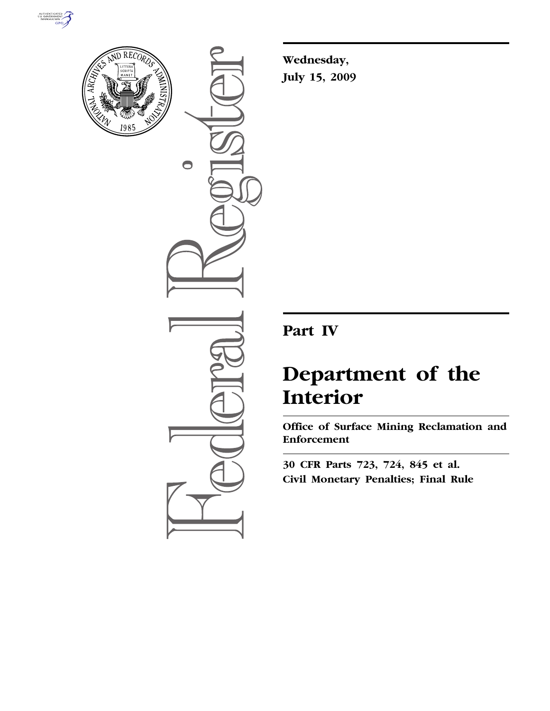



 $\bigcirc$ 

**Wednesday, July 15, 2009** 

# **Part IV**

# **Department of the Interior**

**Office of Surface Mining Reclamation and Enforcement** 

**30 CFR Parts 723, 724, 845 et al. Civil Monetary Penalties; Final Rule**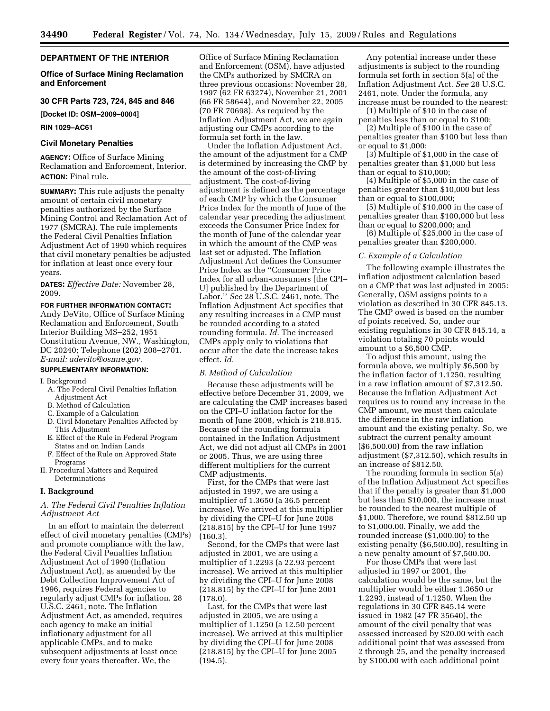# **DEPARTMENT OF THE INTERIOR**

# **Office of Surface Mining Reclamation and Enforcement**

# **30 CFR Parts 723, 724, 845 and 846**

**[Docket ID: OSM–2009–0004]** 

#### **RIN 1029–AC61**

# **Civil Monetary Penalties**

**AGENCY:** Office of Surface Mining Reclamation and Enforcement, Interior. **ACTION:** Final rule.

**SUMMARY:** This rule adjusts the penalty amount of certain civil monetary penalties authorized by the Surface Mining Control and Reclamation Act of 1977 (SMCRA). The rule implements the Federal Civil Penalties Inflation Adjustment Act of 1990 which requires that civil monetary penalties be adjusted for inflation at least once every four years.

**DATES:** *Effective Date:* November 28, 2009.

#### **FOR FURTHER INFORMATION CONTACT:**

Andy DeVito, Office of Surface Mining Reclamation and Enforcement, South Interior Building MS–252, 1951 Constitution Avenue, NW., Washington, DC 20240; Telephone (202) 208–2701. *E-mail: adevito@osmre.gov.* 

#### **SUPPLEMENTARY INFORMATION:**

#### I. Background

- A. The Federal Civil Penalties Inflation Adjustment Act
- B. Method of Calculation
- C. Example of a Calculation
- D. Civil Monetary Penalties Affected by This Adjustment
- E. Effect of the Rule in Federal Program States and on Indian Lands
- F. Effect of the Rule on Approved State Programs
- II. Procedural Matters and Required Determinations

#### **I. Background**

# *A. The Federal Civil Penalties Inflation Adjustment Act*

In an effort to maintain the deterrent effect of civil monetary penalties (CMPs) and promote compliance with the law, the Federal Civil Penalties Inflation Adjustment Act of 1990 (Inflation Adjustment Act), as amended by the Debt Collection Improvement Act of 1996, requires Federal agencies to regularly adjust CMPs for inflation. 28 U.S.C. 2461, note. The Inflation Adjustment Act, as amended, requires each agency to make an initial inflationary adjustment for all applicable CMPs, and to make subsequent adjustments at least once every four years thereafter. We, the

Office of Surface Mining Reclamation and Enforcement (OSM), have adjusted the CMPs authorized by SMCRA on three previous occasions: November 28, 1997 (62 FR 63274), November 21, 2001 (66 FR 58644), and November 22, 2005 (70 FR 70698). As required by the Inflation Adjustment Act, we are again adjusting our CMPs according to the formula set forth in the law.

Under the Inflation Adjustment Act, the amount of the adjustment for a CMP is determined by increasing the CMP by the amount of the cost-of-living adjustment. The cost-of-living adjustment is defined as the percentage of each CMP by which the Consumer Price Index for the month of June of the calendar year preceding the adjustment exceeds the Consumer Price Index for the month of June of the calendar year in which the amount of the CMP was last set or adjusted. The Inflation Adjustment Act defines the Consumer Price Index as the ''Consumer Price Index for all urban-consumers [the CPI– U] published by the Department of Labor.'' *See* 28 U.S.C. 2461, note. The Inflation Adjustment Act specifies that any resulting increases in a CMP must be rounded according to a stated rounding formula. *Id.* The increased CMPs apply only to violations that occur after the date the increase takes effect. *Id.* 

#### *B. Method of Calculation*

Because these adjustments will be effective before December 31, 2009, we are calculating the CMP increases based on the CPI–U inflation factor for the month of June 2008, which is 218.815. Because of the rounding formula contained in the Inflation Adjustment Act, we did not adjust all CMPs in 2001 or 2005. Thus, we are using three different multipliers for the current CMP adjustments.

First, for the CMPs that were last adjusted in 1997, we are using a multiplier of 1.3650 (a 36.5 percent increase). We arrived at this multiplier by dividing the CPI–U for June 2008 (218.815) by the CPI–U for June 1997 (160.3).

Second, for the CMPs that were last adjusted in 2001, we are using a multiplier of 1.2293 (a 22.93 percent increase). We arrived at this multiplier by dividing the CPI–U for June 2008 (218.815) by the CPI–U for June 2001 (178.0).

Last, for the CMPs that were last adjusted in 2005, we are using a multiplier of 1.1250 (a 12.50 percent increase). We arrived at this multiplier by dividing the CPI–U for June 2008 (218.815) by the CPI–U for June 2005 (194.5).

Any potential increase under these adjustments is subject to the rounding formula set forth in section 5(a) of the Inflation Adjustment Act. *See* 28 U.S.C. 2461, note. Under the formula, any increase must be rounded to the nearest:

(1) Multiple of \$10 in the case of penalties less than or equal to \$100;

(2) Multiple of \$100 in the case of penalties greater than \$100 but less than or equal to \$1,000;

(3) Multiple of \$1,000 in the case of penalties greater than \$1,000 but less than or equal to \$10,000;

(4) Multiple of \$5,000 in the case of penalties greater than \$10,000 but less than or equal to \$100,000;

(5) Multiple of \$10,000 in the case of penalties greater than \$100,000 but less than or equal to \$200,000; and

(6) Multiple of \$25,000 in the case of penalties greater than \$200,000.

#### *C. Example of a Calculation*

The following example illustrates the inflation adjustment calculation based on a CMP that was last adjusted in 2005: Generally, OSM assigns points to a violation as described in 30 CFR 845.13. The CMP owed is based on the number of points received. So, under our existing regulations in 30 CFR 845.14, a violation totaling 70 points would amount to a \$6,500 CMP.

To adjust this amount, using the formula above, we multiply \$6,500 by the inflation factor of 1.1250, resulting in a raw inflation amount of \$7,312.50. Because the Inflation Adjustment Act requires us to round any increase in the CMP amount, we must then calculate the difference in the raw inflation amount and the existing penalty. So, we subtract the current penalty amount (\$6,500.00) from the raw inflation adjustment (\$7,312.50), which results in an increase of \$812.50.

The rounding formula in section 5(a) of the Inflation Adjustment Act specifies that if the penalty is greater than \$1,000 but less than \$10,000, the increase must be rounded to the nearest multiple of \$1,000. Therefore, we round \$812.50 up to \$1,000.00. Finally, we add the rounded increase (\$1,000.00) to the existing penalty (\$6,500.00), resulting in a new penalty amount of \$7,500.00.

For those CMPs that were last adjusted in 1997 or 2001, the calculation would be the same, but the multiplier would be either 1.3650 or 1.2293, instead of 1.1250. When the regulations in 30 CFR 845.14 were issued in 1982 (47 FR 35640), the amount of the civil penalty that was assessed increased by \$20.00 with each additional point that was assessed from 2 through 25, and the penalty increased by \$100.00 with each additional point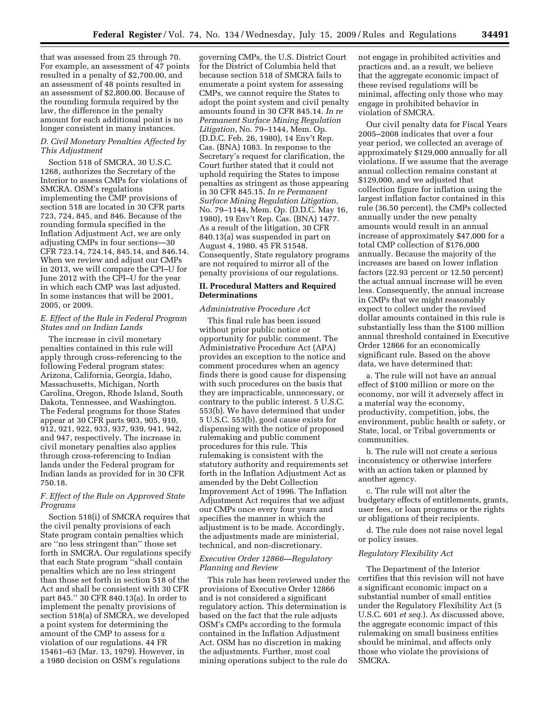that was assessed from 25 through 70. For example, an assessment of 47 points resulted in a penalty of \$2,700.00, and an assessment of 48 points resulted in an assessment of \$2,800.00. Because of the rounding formula required by the law, the difference in the penalty amount for each additional point is no longer consistent in many instances.

# *D. Civil Monetary Penalties Affected by This Adjustment*

Section 518 of SMCRA, 30 U.S.C. 1268, authorizes the Secretary of the Interior to assess CMPs for violations of SMCRA. OSM's regulations implementing the CMP provisions of section 518 are located in 30 CFR parts 723, 724, 845, and 846. Because of the rounding formula specified in the Inflation Adjustment Act, we are only adjusting CMPs in four sections—30 CFR 723.14, 724.14, 845.14, and 846.14. When we review and adjust our CMPs in 2013, we will compare the CPI–U for June 2012 with the CPI–U for the year in which each CMP was last adjusted. In some instances that will be 2001, 2005, or 2009.

# *E. Effect of the Rule in Federal Program States and on Indian Lands*

The increase in civil monetary penalties contained in this rule will apply through cross-referencing to the following Federal program states: Arizona, California, Georgia, Idaho, Massachusetts, Michigan, North Carolina, Oregon, Rhode Island, South Dakota, Tennessee, and Washington. The Federal programs for those States appear at 30 CFR parts 903, 905, 910, 912, 921, 922, 933, 937, 939, 941, 942, and 947, respectively. The increase in civil monetary penalties also applies through cross-referencing to Indian lands under the Federal program for Indian lands as provided for in 30 CFR 750.18.

# *F. Effect of the Rule on Approved State Programs*

Section 518(i) of SMCRA requires that the civil penalty provisions of each State program contain penalties which are ''no less stringent than'' those set forth in SMCRA. Our regulations specify that each State program ''shall contain penalties which are no less stringent than those set forth in section 518 of the Act and shall be consistent with 30 CFR part 845.'' 30 CFR 840.13(a). In order to implement the penalty provisions of section 518(a) of SMCRA, we developed a point system for determining the amount of the CMP to assess for a violation of our regulations. 44 FR 15461–63 (Mar. 13, 1979). However, in a 1980 decision on OSM's regulations

governing CMPs, the U.S. District Court for the District of Columbia held that because section 518 of SMCRA fails to enumerate a point system for assessing CMPs, we cannot require the States to adopt the point system and civil penalty amounts found in 30 CFR 845.14. *In re Permanent Surface Mining Regulation Litigation,* No. 79–1144, Mem. Op. (D.D.C. Feb. 26, 1980), 14 Env't Rep. Cas. (BNA) 1083. In response to the Secretary's request for clarification, the Court further stated that it could not uphold requiring the States to impose penalties as stringent as those appearing in 30 CFR 845.15. *In re Permanent Surface Mining Regulation Litigation,*  No. 79–1144, Mem. Op. (D.D.C. May 16, 1980), 19 Env't Rep. Cas. (BNA) 1477. As a result of the litigation, 30 CFR 840.13(a) was suspended in part on August 4, 1980. 45 FR 51548. Consequently, State regulatory programs are not required to mirror all of the penalty provisions of our regulations.

# **II. Procedural Matters and Required Determinations**

# *Administrative Procedure Act*

This final rule has been issued without prior public notice or opportunity for public comment. The Administrative Procedure Act (APA) provides an exception to the notice and comment procedures when an agency finds there is good cause for dispensing with such procedures on the basis that they are impracticable, unnecessary, or contrary to the public interest. 5 U.S.C. 553(b). We have determined that under 5 U.S.C. 553(b), good cause exists for dispensing with the notice of proposed rulemaking and public comment procedures for this rule. This rulemaking is consistent with the statutory authority and requirements set forth in the Inflation Adjustment Act as amended by the Debt Collection Improvement Act of 1996. The Inflation Adjustment Act requires that we adjust our CMPs once every four years and specifies the manner in which the adjustment is to be made. Accordingly, the adjustments made are ministerial, technical, and non-discretionary.

# *Executive Order 12866—Regulatory Planning and Review*

This rule has been reviewed under the provisions of Executive Order 12866 and is not considered a significant regulatory action. This determination is based on the fact that the rule adjusts OSM's CMPs according to the formula contained in the Inflation Adjustment Act. OSM has no discretion in making the adjustments. Further, most coal mining operations subject to the rule do

not engage in prohibited activities and practices and, as a result, we believe that the aggregate economic impact of these revised regulations will be minimal, affecting only those who may engage in prohibited behavior in violation of SMCRA.

Our civil penalty data for Fiscal Years 2005–2008 indicates that over a four year period, we collected an average of approximately \$129,000 annually for all violations. If we assume that the average annual collection remains constant at \$129,000, and we adjusted that collection figure for inflation using the largest inflation factor contained in this rule (36.50 percent), the CMPs collected annually under the new penalty amounts would result in an annual increase of approximately \$47,000 for a total CMP collection of \$176,000 annually. Because the majority of the increases are based on lower inflation factors (22.93 percent or 12.50 percent) the actual annual increase will be even less. Consequently, the annual increase in CMPs that we might reasonably expect to collect under the revised dollar amounts contained in this rule is substantially less than the \$100 million annual threshold contained in Executive Order 12866 for an economically significant rule. Based on the above data, we have determined that:

a. The rule will not have an annual effect of \$100 million or more on the economy, nor will it adversely affect in a material way the economy, productivity, competition, jobs, the environment, public health or safety, or State, local, or Tribal governments or communities.

b. The rule will not create a serious inconsistency or otherwise interfere with an action taken or planned by another agency.

c. The rule will not alter the budgetary effects of entitlements, grants, user fees, or loan programs or the rights or obligations of their recipients.

d. The rule does not raise novel legal or policy issues.

#### *Regulatory Flexibility Act*

The Department of the Interior certifies that this revision will not have a significant economic impact on a substantial number of small entities under the Regulatory Flexibility Act (5 U.S.C. 601 *et seq.*). As discussed above, the aggregate economic impact of this rulemaking on small business entities should be minimal, and affects only those who violate the provisions of SMCRA.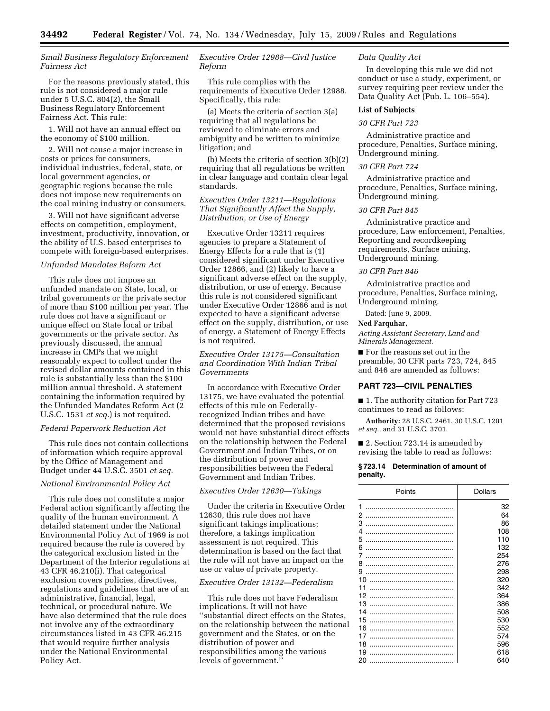*Small Business Regulatory Enforcement Fairness Act* 

For the reasons previously stated, this rule is not considered a major rule under 5 U.S.C. 804(2), the Small Business Regulatory Enforcement Fairness Act. This rule:

1. Will not have an annual effect on the economy of \$100 million.

2. Will not cause a major increase in costs or prices for consumers, individual industries, federal, state, or local government agencies, or geographic regions because the rule does not impose new requirements on the coal mining industry or consumers.

3. Will not have significant adverse effects on competition, employment, investment, productivity, innovation, or the ability of U.S. based enterprises to compete with foreign-based enterprises.

#### *Unfunded Mandates Reform Act*

This rule does not impose an unfunded mandate on State, local, or tribal governments or the private sector of more than \$100 million per year. The rule does not have a significant or unique effect on State local or tribal governments or the private sector. As previously discussed, the annual increase in CMPs that we might reasonably expect to collect under the revised dollar amounts contained in this rule is substantially less than the \$100 million annual threshold. A statement containing the information required by the Unfunded Mandates Reform Act (2 U.S.C. 1531 *et seq.*) is not required.

#### *Federal Paperwork Reduction Act*

This rule does not contain collections of information which require approval by the Office of Management and Budget under 44 U.S.C. 3501 *et seq.* 

# *National Environmental Policy Act*

This rule does not constitute a major Federal action significantly affecting the quality of the human environment. A detailed statement under the National Environmental Policy Act of 1969 is not required because the rule is covered by the categorical exclusion listed in the Department of the Interior regulations at 43 CFR 46.210(i). That categorical exclusion covers policies, directives, regulations and guidelines that are of an administrative, financial, legal, technical, or procedural nature. We have also determined that the rule does not involve any of the extraordinary circumstances listed in 43 CFR 46.215 that would require further analysis under the National Environmental Policy Act.

# *Executive Order 12988—Civil Justice Reform*

This rule complies with the requirements of Executive Order 12988. Specifically, this rule:

(a) Meets the criteria of section 3(a) requiring that all regulations be reviewed to eliminate errors and ambiguity and be written to minimize litigation; and

(b) Meets the criteria of section 3(b)(2) requiring that all regulations be written in clear language and contain clear legal standards.

# *Executive Order 13211—Regulations That Significantly Affect the Supply, Distribution, or Use of Energy*

Executive Order 13211 requires agencies to prepare a Statement of Energy Effects for a rule that is (1) considered significant under Executive Order 12866, and (2) likely to have a significant adverse effect on the supply, distribution, or use of energy. Because this rule is not considered significant under Executive Order 12866 and is not expected to have a significant adverse effect on the supply, distribution, or use of energy, a Statement of Energy Effects is not required.

*Executive Order 13175—Consultation and Coordination With Indian Tribal Governments* 

In accordance with Executive Order 13175, we have evaluated the potential effects of this rule on Federallyrecognized Indian tribes and have determined that the proposed revisions would not have substantial direct effects on the relationship between the Federal Government and Indian Tribes, or on the distribution of power and responsibilities between the Federal Government and Indian Tribes.

# *Executive Order 12630—Takings*

Under the criteria in Executive Order 12630, this rule does not have significant takings implications; therefore, a takings implication assessment is not required. This determination is based on the fact that the rule will not have an impact on the use or value of private property.

#### *Executive Order 13132—Federalism*

This rule does not have Federalism implications. It will not have ''substantial direct effects on the States, on the relationship between the national government and the States, or on the distribution of power and responsibilities among the various levels of government.''

#### *Data Quality Act*

In developing this rule we did not conduct or use a study, experiment, or survey requiring peer review under the Data Quality Act (Pub. L. 106–554).

# **List of Subjects**

# *30 CFR Part 723*

Administrative practice and procedure, Penalties, Surface mining, Underground mining.

#### *30 CFR Part 724*

Administrative practice and procedure, Penalties, Surface mining, Underground mining.

#### *30 CFR Part 845*

Administrative practice and procedure, Law enforcement, Penalties, Reporting and recordkeeping requirements, Surface mining, Underground mining.

#### *30 CFR Part 846*

Administrative practice and procedure, Penalties, Surface mining, Underground mining.

Dated: June 9, 2009.

#### **Ned Farquhar,**

*Acting Assistant Secretary, Land and Minerals Management.* 

■ For the reasons set out in the preamble, 30 CFR parts 723, 724, 845 and 846 are amended as follows:

# **PART 723—CIVIL PENALTIES**

■ 1. The authority citation for Part 723 continues to read as follows:

**Authority:** 28 U.S.C. 2461, 30 U.S.C. 1201 *et seq.,* and 31 U.S.C. 3701.

■ 2. Section 723.14 is amended by revising the table to read as follows:

#### **§ 723.14 Determination of amount of penalty.**

| Points | <b>Dollars</b> |
|--------|----------------|
| 1      | 32             |
| 2      | 64             |
| 3      | 86             |
| 4      | 108            |
| 5      | 110            |
| 6      | 132            |
| 7      | 254            |
| 8      | 276            |
| 9      | 298            |
| 10     | 320            |
| 11     | 342            |
| 12     | 364            |
| 13     | 386            |
| 14     | 508            |
|        |                |
| 15     | 530            |
| 16     | 552            |
| 17     | 574            |
| 18     | 596            |
| 19     | 618            |
| 20     | 640            |